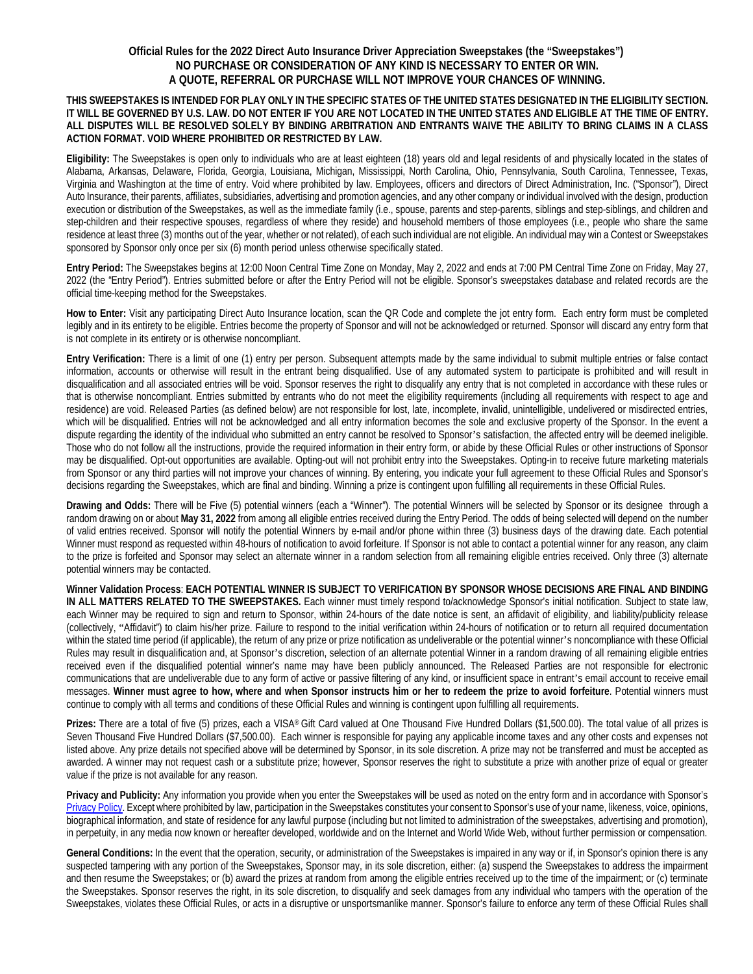## **Official Rules for the 2022 Direct Auto Insurance Driver Appreciation Sweepstakes (the "Sweepstakes") NO PURCHASE OR CONSIDERATION OF ANY KIND IS NECESSARY TO ENTER OR WIN. A QUOTE, REFERRAL OR PURCHASE WILL NOT IMPROVE YOUR CHANCES OF WINNING.**

## **THIS SWEEPSTAKES IS INTENDED FOR PLAY ONLY IN THE SPECIFIC STATES OF THE UNITED STATES DESIGNATED IN THE ELIGIBILITY SECTION. IT WILL BE GOVERNED BY U.S. LAW. DO NOT ENTER IF YOU ARE NOT LOCATED IN THE UNITED STATES AND ELIGIBLE AT THE TIME OF ENTRY. ALL DISPUTES WILL BE RESOLVED SOLELY BY BINDING ARBITRATION AND ENTRANTS WAIVE THE ABILITY TO BRING CLAIMS IN A CLASS ACTION FORMAT. VOID WHERE PROHIBITED OR RESTRICTED BY LAW.**

**Eligibility:** The Sweepstakes is open only to individuals who are at least eighteen (18) years old and legal residents of and physically located in the states of Alabama, Arkansas, Delaware, Florida, Georgia, Louisiana, Michigan, Mississippi, North Carolina, Ohio, Pennsylvania, South Carolina, Tennessee, Texas, Virginia and Washington at the time of entry. Void where prohibited by law. Employees, officers and directors of Direct Administration, Inc. ("Sponsor"), Direct Auto Insurance, their parents, affiliates, subsidiaries, advertising and promotion agencies, and any other company or individual involved with the design, production execution or distribution of the Sweepstakes, as well as the immediate family (i.e., spouse, parents and step-parents, siblings and step-siblings, and children and step-children and their respective spouses, regardless of where they reside) and household members of those employees (i.e., people who share the same residence at least three (3) months out of the year, whether or not related), of each such individual are not eligible. An individual may win a Contest or Sweepstakes sponsored by Sponsor only once per six (6) month period unless otherwise specifically stated.

**Entry Period:** The Sweepstakes begins at 12:00 Noon Central Time Zone on Monday, May 2, 2022 and ends at 7:00 PM Central Time Zone on Friday, May 27, 2022 (the "Entry Period"). Entries submitted before or after the Entry Period will not be eligible. Sponsor's sweepstakes database and related records are the official time-keeping method for the Sweepstakes.

**How to Enter:** Visit any participating Direct Auto Insurance location, scan the QR Code and complete the jot entry form. Each entry form must be completed legibly and in its entirety to be eligible. Entries become the property of Sponsor and will not be acknowledged or returned. Sponsor will discard any entry form that is not complete in its entirety or is otherwise noncompliant.

**Entry Verification:** There is a limit of one (1) entry per person. Subsequent attempts made by the same individual to submit multiple entries or false contact information, accounts or otherwise will result in the entrant being disqualified. Use of any automated system to participate is prohibited and will result in disqualification and all associated entries will be void. Sponsor reserves the right to disqualify any entry that is not completed in accordance with these rules or that is otherwise noncompliant. Entries submitted by entrants who do not meet the eligibility requirements (including all requirements with respect to age and residence) are void. Released Parties (as defined below) are not responsible for lost, late, incomplete, invalid, unintelligible, undelivered or misdirected entries, which will be disqualified. Entries will not be acknowledged and all entry information becomes the sole and exclusive property of the Sponsor. In the event a dispute regarding the identity of the individual who submitted an entry cannot be resolved to Sponsor's satisfaction, the affected entry will be deemed ineligible. Those who do not follow all the instructions, provide the required information in their entry form, or abide by these Official Rules or other instructions of Sponsor may be disqualified. Opt-out opportunities are available. Opting-out will not prohibit entry into the Sweepstakes. Opting-in to receive future marketing materials from Sponsor or any third parties will not improve your chances of winning. By entering, you indicate your full agreement to these Official Rules and Sponsor's decisions regarding the Sweepstakes, which are final and binding. Winning a prize is contingent upon fulfilling all requirements in these Official Rules.

**Drawing and Odds:** There will be Five (5) potential winners (each a "Winner"). The potential Winners will be selected by Sponsor or its designee through a random drawing on or about **May 31, 2022** from among all eligible entries received during the Entry Period. The odds of being selected will depend on the number of valid entries received. Sponsor will notify the potential Winners by e-mail and/or phone within three (3) business days of the drawing date. Each potential Winner must respond as requested within 48-hours of notification to avoid forfeiture. If Sponsor is not able to contact a potential winner for any reason, any claim to the prize is forfeited and Sponsor may select an alternate winner in a random selection from all remaining eligible entries received. Only three (3) alternate potential winners may be contacted.

**Winner Validation Process**: **EACH POTENTIAL WINNER IS SUBJECT TO VERIFICATION BY SPONSOR WHOSE DECISIONS ARE FINAL AND BINDING IN ALL MATTERS RELATED TO THE SWEEPSTAKES.** Each winner must timely respond to/acknowledge Sponsor's initial notification. Subject to state law, each Winner may be required to sign and return to Sponsor, within 24-hours of the date notice is sent, an affidavit of eligibility, and liability/publicity release (collectively, "Affidavit") to claim his/her prize. Failure to respond to the initial verification within 24-hours of notification or to return all required documentation within the stated time period (if applicable), the return of any prize or prize notification as undeliverable or the potential winner's noncompliance with these Official Rules may result in disqualification and, at Sponsor's discretion, selection of an alternate potential Winner in a random drawing of all remaining eligible entries received even if the disqualified potential winner's name may have been publicly announced. The Released Parties are not responsible for electronic communications that are undeliverable due to any form of active or passive filtering of any kind, or insufficient space in entrant's email account to receive email messages. **Winner must agree to how, where and when Sponsor instructs him or her to redeem the prize to avoid forfeiture**. Potential winners must continue to comply with all terms and conditions of these Official Rules and winning is contingent upon fulfilling all requirements.

**Prizes:** There are a total of five (5) prizes, each a VISA® Gift Card valued at One Thousand Five Hundred Dollars (\$1,500.00). The total value of all prizes is Seven Thousand Five Hundred Dollars (\$7,500.00). Each winner is responsible for paying any applicable income taxes and any other costs and expenses not listed above. Any prize details not specified above will be determined by Sponsor, in its sole discretion. A prize may not be transferred and must be accepted as awarded. A winner may not request cash or a substitute prize; however, Sponsor reserves the right to substitute a prize with another prize of equal or greater value if the prize is not available for any reason.

**Privacy and Publicity:** Any information you provide when you enter the Sweepstakes will be used as noted on the entry form and in accordance with Sponsor's [Privacy Policy.](http://www.directgeneral.com/privacy-and-security) Except where prohibited by law, participation in the Sweepstakes constitutes your consent to Sponsor's use of your name, likeness, voice, opinions, biographical information, and state of residence for any lawful purpose (including but not limited to administration of the sweepstakes, advertising and promotion), in perpetuity, in any media now known or hereafter developed, worldwide and on the Internet and World Wide Web, without further permission or compensation.

**General Conditions:** In the event that the operation, security, or administration of the Sweepstakes is impaired in any way or if, in Sponsor's opinion there is any suspected tampering with any portion of the Sweepstakes, Sponsor may, in its sole discretion, either: (a) suspend the Sweepstakes to address the impairment and then resume the Sweepstakes; or (b) award the prizes at random from among the eligible entries received up to the time of the impairment; or (c) terminate the Sweepstakes. Sponsor reserves the right, in its sole discretion, to disqualify and seek damages from any individual who tampers with the operation of the Sweepstakes, violates these Official Rules, or acts in a disruptive or unsportsmanlike manner. Sponsor's failure to enforce any term of these Official Rules shall